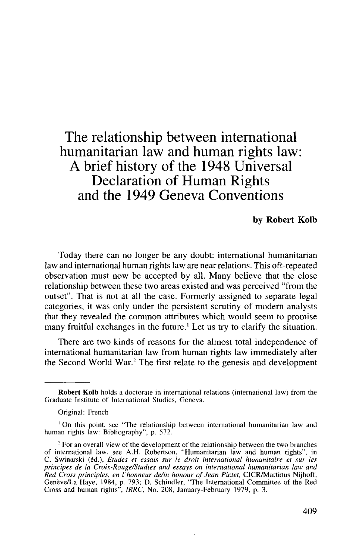# The relationship between international humanitarian law and human rights law: A brief history of the 1948 Universal Declaration of Human Rights and the 1949 Geneva Conventions

#### **by Robert Kolb**

Today there can no longer be any doubt: international humanitarian law and international human rights law are near relations. This oft-repeated observation must now be accepted by all. Many believe that the close relationship between these two areas existed and was perceived "from the outset". That is not at all the case. Formerly assigned to separate legal categories, it was only under the persistent scrutiny of modern analysts that they revealed the common attributes which would seem to promise many fruitful exchanges in the future.<sup>1</sup> Let us try to clarify the situation.

There are two kinds of reasons for the almost total independence of international humanitarian law from human rights law immediately after the Second World War.<sup>2</sup> The first relate to the genesis and development

**Robert Kolb** holds a doctorate in international relations (international law) from the Graduate Institute of International Studies, Geneva.

Original: French

<sup>1</sup> On this point, see "The relationship between international humanitarian law and human rights law: Bibliography", p. 572.

<sup>&</sup>lt;sup>2</sup> For an overall view of the development of the relationship between the two branches of international law, see A.H. Robertson, "Humanitarian law and human rights", in C. Swinarski (ed.), *Etudes el essais sur le droit international humanitaire et sur les principes de la Croix-Rouge/Studies and essays on international humanitarian law and Red Cross principles, en I'honneur de/in honour of Jean Pictet,* CICR/Martinus Nijhoff, Genève/La Haye, 1984, p. 793; D. Schindler, "The International Committee of the Red Cross and human rights", *IRRC,* No. 208, January-February 1979, p. 3.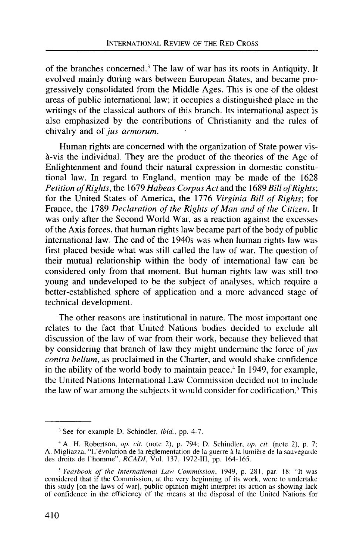of the branches concerned.<sup>3</sup> The law of war has its roots in Antiquity. It evolved mainly during wars between European States, and became progressively consolidated from the Middle Ages. This is one of the oldest areas of public international law; it occupies a distinguished place in the writings of the classical authors of this branch. Its international aspect is also emphasized by the contributions of Christianity and the rules of chivalry and of *jus armorum.*

Human rights are concerned with the organization of State power visa-vis the individual. They are the product of the theories of the Age of Enlightenment and found their natural expression in domestic constitutional law. In regard to England, mention may be made of the 1628 *Petition of Rights,* the 1679 *Habeas Corpus Act* and the 1689 *Bill of Rights;* for the United States of America, the 1776 *Virginia Bill of Rights;* for France, the 1789 *Declaration of the Rights of Man and of the Citizen.* It was only after the Second World War, as a reaction against the excesses of the Axis forces, that human rights law became part of the body of public international law. The end of the 1940s was when human rights law was first placed beside what was still called the law of war. The question of their mutual relationship within the body of international law can be considered only from that moment. But human rights law was still too young and undeveloped to be the subject of analyses, which require a better-established sphere of application and a more advanced stage of technical development.

The other reasons are institutional in nature. The most important one relates to the fact that United Nations bodies decided to exclude all discussion of the law of war from their work, because they believed that by considering that branch of law they might undermine the force of *jus contra helium,* as proclaimed in the Charter, and would shake confidence in the ability of the world body to maintain peace.<sup>4</sup> In 1949, for example, the United Nations International Law Commission decided not to include the law of war among the subjects it would consider for codification.<sup>5</sup> This

<sup>&</sup>lt;sup>3</sup> See for example D. Schindler, *ibid.*, pp. 4-7.

<sup>4</sup> A. H. Robertson, *op. cit.* (note 2), p. 794; D. Schindler, *op. cit.* (note 2), p. 7; A. Migliazza, "L'evolution de la reglementation de la guerre a la lumiere de la sauvegarde des droits de l'homme", *RCADI,* Vol. 137, 1972-III, pp. 164-165.

<sup>&</sup>lt;sup>5</sup> Yearbook of the International Law Commission, 1949, p. 281, par. 18: "It was considered that if the Commission, at the very beginning of its work, were to undertake this study [on the laws of war], public opinion might interpret its action as showing lack of confidence in the efficiency of the means at the disposal of the United Nations for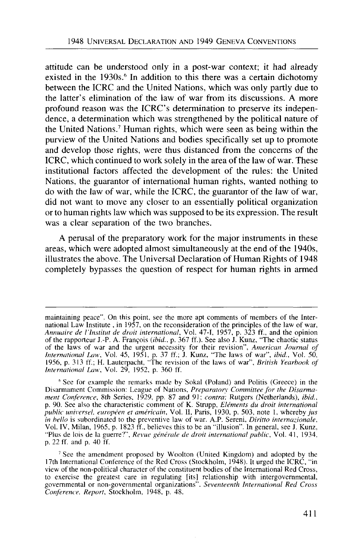attitude can be understood only in a post-war context; it had already existed in the 1930s.<sup>6</sup> In addition to this there was a certain dichotomy between the ICRC and the United Nations, which was only partly due to the latter's elimination of the law of war from its discussions. A more profound reason was the ICRC's determination to preserve its independence, a determination which was strengthened by the political nature of the United Nations.<sup>7</sup> Human rights, which were seen as being within the purview of the United Nations and bodies specifically set up to promote and develop those rights, were thus distanced from the concerns of the ICRC, which continued to work solely in the area of the law of war. These institutional factors affected the development of the rules: the United Nations, the guarantor of international human rights, wanted nothing to do with the law of war, while the ICRC, the guarantor of the law of war, did not want to move any closer to an essentially political organization or to human rights law which was supposed to be its expression. The result was a clear separation of the two branches.

A perusal of the preparatory work for the major instruments in these areas, which were adopted almost simultaneously at the end of the 1940s, illustrates the above. The Universal Declaration of Human Rights of 1948 completely bypasses the question of respect for human rights in armed

maintaining peace". On this point, see the more apt comments of members of the International Law Institute , in 1957, on the reconsideration of the principles of the law of war, *Annuaire de l'Institut de droit international.* Vol. 47-1, 1957, p. 323 ff., and the opinion of the rapporteur J.-P. A. Francois *(ibid.,* p. 367 ff.). See also J. Kunz, "The chaotic status of the laws of war and the urgent necessity for their revision", *American Journal of International Law,* Vol. 45, 1951, p. 37 ff.; J. Kunz, "The laws of war", *ibid.,* Vol. 50, 1956, p. 313 ff.; H. Lauterpacht, "The revision of the laws of war", *British Yearbook of International Law,* Vol. 29, 1952, p. 360 ff.

*h* See for example the remarks made by Sokal (Poland) and Politis (Greece) in the Disarmament Commission: League of Nations, *Preparatory Committee for the Disarmament Conference,* 8th Series, 1929, pp. 87 and 91; *contra:* Rutgers (Netherlands), *ibid.,* p. 90. See also the characteristic comment of K. Strupp, *Elements du droit international public universel europeen et americain.* Vol. II, Paris, 1930, p. 503, note 1, whereby *jus in hello* is subordinated to the preventive law of war. A.P. Sereni, *Diritto internazionale,* Vol. IV, Milan, 1965, p. 1823 ff., believes this to be an "illusion". In general, see J. Kunz, "Plus de lois de la guerre?". *Revue generate de droit international public,* Vol. 41, 1934, p. 22 ff. and p. 40 ff.

<sup>&</sup>lt;sup>7</sup> See the amendment proposed by Woolton (United Kingdom) and adopted by the 17th International Conference of the Red Cross (Stockholm, 1948). It urged the ICRC, "in view of the non-political character of the constituent bodies of the International Red Cross, to exercise the greatest care in regulating [its] relationship with intergovernmental, governmental or non-governmental organizations". *Seventeenth International Red Cross Conference. Report,* Stockholm, 1948, p. 48.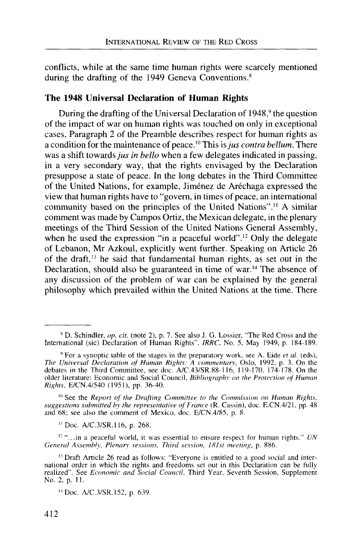conflicts, while at the same time human rights were scarcely mentioned during the drafting of the 1949 Geneva Conventions.<sup>8</sup>

## **The 1948 Universal Declaration of Human Rights**

During the drafting of the Universal Declaration of 1948,<sup>9</sup> the question of the impact of war on human rights was touched on only in exceptional cases. Paragraph 2 of the Preamble describes respect for human rights as a condition for the maintenance of peace.<sup>10</sup> This is *jus contra bellum*. There was a shift towards *jus in bello* when a few delegates indicated in passing, in a very secondary way, that the rights envisaged by the Declaration presuppose a state of peace. In the long debates in the Third Committee of the United Nations, for example, Jimenez de Arechaga expressed the view that human rights have to "govern, in times of peace, an international community based on the principles of the United Nations"." A similar comment was made by Campos Ortiz, the Mexican delegate, in the plenary meetings of the Third Session of the United Nations General Assembly, when he used the expression "in a peaceful world".<sup>12</sup> Only the delegate of Lebanon, Mr Azkoul, explicitly went further. Speaking on Article 26 of the draft,<sup>13</sup> he said that fundamental human rights, as set out in the Declaration, should also be guaranteed in time of war.<sup>14</sup> The absence of any discussion of the problem of war can be explained by the general philosophy which prevailed within the United Nations at the time. There

10 See the *Report of the Drafting Committee to the Commission on Human Rights, suggestions submitted by the representative of France* (R. Cassin), doc. E.CN.4/21, pp. 48 and 68; see also the comment of Mexico, doc. E/CN.4/85. p. 8.

<sup>11</sup> Doc. A/C.3/SR.116, p. 268.

12 "...in a peaceful world, it was essential to ensure respect for human rights." *UN General Assembly, Plenary sessions, Third session, 181st meeting,* p. 886.

<sup>13</sup> Draft Article 26 read as follows: "Everyone is entitled to a good social and international order in which the rights and freedoms set out in this Declaration can be fully realized". See *Economic and Social Council,* Third Year, Seventh Session, Supplement No. 2, p. 11.

<sup>8</sup> D. Schindler, *op. cit.* (note 2), p. 7. See also J. G. Lossier, "The Red Cross and the International (sic) Declaration of Human Rights", *IRRC,* No. 5, May 1949, p. 184-189.

*<sup>9</sup>* For a synoptic table of the stages in the preparatory work, see A. Eide *et al.* (eds), *The Universal Declaration of Human Rights: A commentary,* Oslo, 1992, p. 3. On the debates in the Third Committee, see doc. A/C.43/SR.88-116, 119-170, 174-178. On the older literature: Economic and Social Council, *Bibliography on the Protection of Human Rights,* E/CN.4/540 (1951), pp. 36-40.

<sup>&</sup>lt;sup>14</sup> Doc. A/C.3/SR.152, p. 639. Doc. A/C.3/SR.152, p. 639.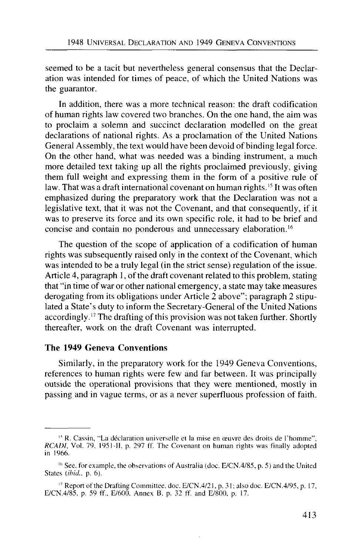seemed to be a tacit but nevertheless general consensus that the Declaration was intended for times of peace, of which the United Nations was the guarantor.

In addition, there was a more technical reason: the draft codification of human rights law covered two branches. On the one hand, the aim was to proclaim a solemn and succinct declaration modelled on the great declarations of national rights. As a proclamation of the United Nations General Assembly, the text would have been devoid of binding legal force. On the other hand, what was needed was a binding instrument, a much more detailed text taking up all the rights proclaimed previously, giving them full weight and expressing them in the form of a positive rule of law. That was a draft international covenant on human rights.<sup>15</sup> It was often emphasized during the preparatory work that the Declaration was not a legislative text, that it was not the Covenant, and that consequently, if it was to preserve its force and its own specific role, it had to be brief and concise and contain no ponderous and unnecessary elaboration.<sup>16</sup>

The question of the scope of application of a codification of human rights was subsequently raised only in the context of the Covenant, which was intended to be a truly legal (in the strict sense) regulation of the issue. Article 4, paragraph 1, of the draft covenant related to this problem, stating that "in time of war or other national emergency, a state may take measures derogating from its obligations under Article 2 above"; paragraph 2 stipulated a State's duty to inform the Secretary-General of the United Nations accordingly.<sup>17</sup> The drafting of this provision was not taken further. Shortly thereafter, work on the draft Covenant was interrupted.

#### **The 1949 Geneva Conventions**

Similarly, in the preparatory work for the 1949 Geneva Conventions, references to human rights were few and far between. It was principally outside the operational provisions that they were mentioned, mostly in passing and in vague terms, or as a never superfluous profession of faith.

<sup>&</sup>lt;sup>15</sup> R. Cassin, "La déclaration universelle et la mise en œuvre des droits de l'homme", *RCAD1,* Vol. 79, 1951-11, p. 297 ff. The Covenant on human rights was finally adopted in 1966.

 $^{16}$  See, for example, the observations of Australia (doc. E/CN.4/85, p. 5) and the United States *{ibid.,* p. 6).

<sup>&</sup>lt;sup>17</sup> Report of the Drafting Committee, doc. E/CN.4/21, p. 31; also doc. E/CN.4/95, p. 17, E/CN.4/85, p. 59 ff., E/600. Annex B, p. 32 ff. and E/800, p. 17.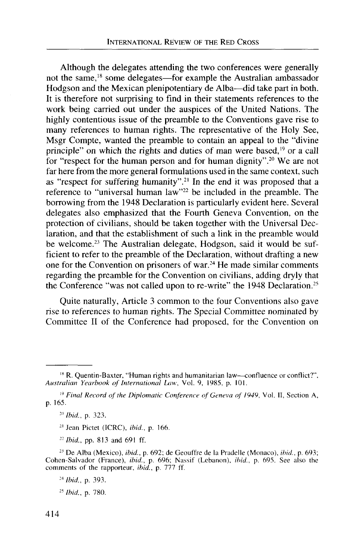Although the delegates attending the two conferences were generally not the same,<sup>18</sup> some delegates—for example the Australian ambassador Hodgson and the Mexican plenipotentiary de Alba—did take part in both. It is therefore not surprising to find in their statements references to the work being carried out under the auspices of the United Nations. The highly contentious issue of the preamble to the Conventions gave rise to many references to human rights. The representative of the Holy See, Msgr Compte, wanted the preamble to contain an appeal to the "divine principle" on which the rights and duties of man were based,<sup>19</sup> or a call for "respect for the human person and for human dignity".<sup>20</sup> We are not far here from the more general formulations used in the same context, such as "respect for suffering humanity".<sup>21</sup> In the end it was proposed that a reference to "universal human law"<sup>22</sup> be included in the preamble. The borrowing from the 1948 Declaration is particularly evident here. Several delegates also emphasized that the Fourth Geneva Convention, on the protection of civilians, should be taken together with the Universal Declaration, and that the establishment of such a link in the preamble would be welcome.<sup>23</sup> The Australian delegate, Hodgson, said it would be sufficient to refer to the preamble of the Declaration, without drafting a new one for the Convention on prisoners of war.<sup>24</sup> He made similar comments regarding the preamble for the Convention on civilians, adding dryly that the Conference "was not called upon to re-write" the 1948 Declaration.<sup>25</sup>

Quite naturally, Article 3 common to the four Conventions also gave rise to references to human rights. The Special Committee nominated by Committee II of the Conference had proposed, for the Convention on

<sup>&</sup>lt;sup>18</sup> R. Quentin-Baxter, "Human rights and humanitarian law-confluence or conflict?". *Australian Yearbook of International Law,* Vol. 9, 1985, p. 101.

<sup>&</sup>lt;sup>19</sup> Final Record of the Diplomatic Conference of Geneva of 1949, Vol. II, Section A, p. 165.

*<sup>20</sup> Ibid.,* p. 323.

<sup>21</sup> Jean Pictet (ICRC), *ibid.,* p. 166.

*<sup>22</sup> Ibid.,* pp. 813 and 691 ff.

<sup>23</sup> De Alba (Mexico), *ibid.,* p. 692; de Geouffre de la Pradelle (Monaco), *ibid.,* p. 693; Cohen-Salvador (France), *ibid.,* p. 696; Nassif (Lebanon), *ibid., p.* 695. See also the comments of the rapporteur, *ibid.*, p. 777 ff.

<sup>24</sup>  *Ibid.,* p. 393.

<sup>25</sup>  *Ibid., p.* 780.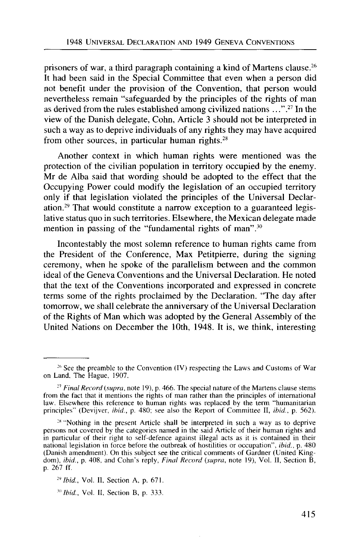prisoners of war, a third paragraph containing a kind of Martens clause.<sup>26</sup> It had been said in the Special Committee that even when a person did not benefit under the provision of the Convention, that person would nevertheless remain "safeguarded by the principles of the rights of man as derived from the rules established among civilized nations ...".<sup>27</sup> In the view of the Danish delegate, Cohn, Article 3 should not be interpreted in such a way as to deprive individuals of any rights they may have acquired from other sources, in particular human rights.<sup>28</sup>

Another context in which human rights were mentioned was the protection of the civilian population in territory occupied by the enemy. Mr de Alba said that wording should be adopted to the effect that the Occupying Power could modify the legislation of an occupied territory only if that legislation violated the principles of the Universal Declaration.<sup>29</sup> That would constitute a narrow exception to a guaranteed legislative status quo in such territories. Elsewhere, the Mexican delegate made mention in passing of the "fundamental rights of man".<sup>30</sup>

Incontestably the most solemn reference to human rights came from the President of the Conference, Max Petitpierre, during the signing ceremony, when he spoke of the parallelism between and the common ideal of the Geneva Conventions and the Universal Declaration. He noted that the text of the Conventions incorporated and expressed in concrete terms some of the rights proclaimed by the Declaration. "The day after tomorrow, we shall celebrate the anniversary of the Universal Declaration of the Rights of Man which was adopted by the General Assembly of the United Nations on December the 10th, 1948. It is, we think, interesting

<sup>&</sup>lt;sup>26</sup> See the preamble to the Convention (IV) respecting the Laws and Customs of War on Land, The Hague, 1907.

<sup>&</sup>lt;sup>27</sup> Final Record (supra, note 19), p. 466. The special nature of the Martens clause stems from the fact that it mentions the rights of man rather than the principles of international law. Elsewhere this reference to human rights was replaced by the term "humanitarian principles" (Devijver, *ibid., p.* 480; see also the Report of Committee II, *ibid.,* p. 562).

<sup>&</sup>lt;sup>28</sup> "Nothing in the present Article shall be interpreted in such a way as to deprive persons not covered by the categories named in the said Article of their human rights and in particular of their right to self-defence against illegal acts as it is contained in their national legislation in force before the outbreak of hostilities or occupation", *ibid.,* p. 480 (Danish amendment). On this subject see the critical comments of Gardner (United Kingdom), *ibid.,* p. 408, and Cohn's reply, *Final Record (supra,* note 19), Vol. II, Section B, p. 267 ff.

<sup>29</sup>  *Ibid.,* Vol. II, Section A, p. 671.

*<sup>&#</sup>x27;"Ibid.,* Vol. II, Section B, p. 333.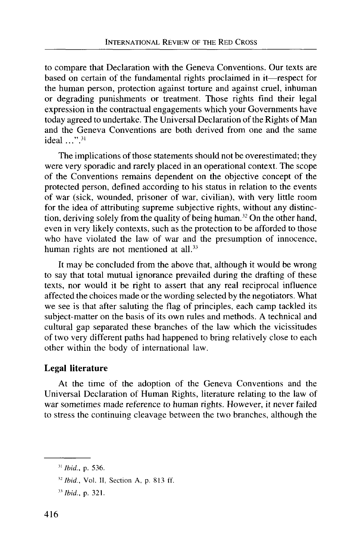to compare that Declaration with the Geneva Conventions. Our texts are based on certain of the fundamental rights proclaimed in it—respect for the human person, protection against torture and against cruel, inhuman or degrading punishments or treatment. Those rights find their legal expression in the contractual engagements which your Governments have today agreed to undertake. The Universal Declaration of the Rights of Man and the Geneva Conventions are both derived from one and the same ideal...".<sup>31</sup>

The implications of those statements should not be overestimated; they were very sporadic and rarely placed in an operational context. The scope of the Conventions remains dependent on the objective concept of the protected person, defined according to his status in relation to the events of war (sick, wounded, prisoner of war, civilian), with very little room for the idea of attributing supreme subjective rights, without any distinction, deriving solely from the quality of being human.<sup>32</sup> On the other hand, even in very likely contexts, such as the protection to be afforded to those who have violated the law of war and the presumption of innocence, human rights are not mentioned at all.<sup>33</sup>

It may be concluded from the above that, although it would be wrong to say that total mutual ignorance prevailed during the drafting of these texts, nor would it be right to assert that any real reciprocal influence affected the choices made or the wording selected by the negotiators. What we see is that after saluting the flag of principles, each camp tackled its subject-matter on the basis of its own rules and methods. A technical and cultural gap separated these branches of the law which the vicissitudes of two very different paths had happened to bring relatively close to each other within the body of international law.

### Legal literature

At the time of the adoption of the Geneva Conventions and the Universal Declaration of Human Rights, literature relating to the law of war sometimes made reference to human rights. However, it never failed to stress the continuing cleavage between the two branches, although the

<sup>31</sup>  *Ibid.,* p. 536.

<sup>12</sup>  *Ibid.,* Vol. II, Section A, p. 813 ff.

*<sup>&</sup>quot;Ibid.,* p. 321.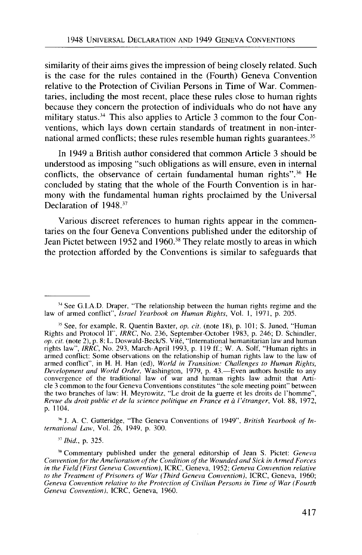similarity of their aims gives the impression of being closely related. Such is the case for the rules contained in the (Fourth) Geneva Convention relative to the Protection of Civilian Persons in Time of War. Commentaries, including the most recent, place these rules close to human rights because they concern the protection of individuals who do not have any military status.<sup>34</sup> This also applies to Article 3 common to the four Conventions, which lays down certain standards of treatment in non-international armed conflicts; these rules resemble human rights guarantees.<sup>35</sup>

In 1949 a British author considered that common Article 3 should be understood as imposing "such obligations as will ensure, even in internal conflicts, the observance of certain fundamental human rights".<sup>36</sup> He concluded by stating that the whole of the Fourth Convention is in harmony with the fundamental human rights proclaimed by the Universal Declaration of 1948.37

Various discreet references to human rights appear in the commentaries on the four Geneva Conventions published under the editorship of Jean Pictet between 1952 and 1960.<sup>38</sup> They relate mostly to areas in which the protection afforded by the Conventions is similar to safeguards that

\* J. A. C. Gutteridge, "The Geneva Conventions of 1949", *British Yearbook of International Law,* Vol. 26, 1949, p. 300.

*31 Ibid.,* p. 325.

<sup>38</sup> Commentary published under the general editorship of Jean S. Pictet: Geneva *Convention for the Amelioration of the Condition of the Wounded and Sick in Armed Forces in the Field (First Geneva Convention),* ICRC, Geneva, 1952; *Geneva Convention relative to the Treatment of Prisoners of War (Third Geneva Convention),* ICRC, Geneva, 1960; *Geneva Convention relative to the Protection of Civilian Persons in Time of War (Fourth Geneva Convention),* ICRC, Geneva, 1960.

<sup>&</sup>lt;sup>34</sup> See G.I.A.D. Draper, "The relationship between the human rights regime and the law of armed conflict", *Israel Yearbook on Human Rights,* Vol. 1, 1971, p. 205.

<sup>&</sup>lt;sup>35</sup> See, for example, R. Quentin Baxter, *op. cit.* (note 18), p. 101; S. Junod, "Human Rights and Protocol II", *IRRC,* No. 236, September-October 1983, p. 246; D. Schindler, *op. cit.* (note 2), p. 8; L. Doswald-Beck/S. Vite, "International humanitarian law and human rights law", *IRRC,* No. 293, March-April 1993, p. 119 ff.; W. A. Solf, "Human rights in armed conflict: Some observations on the relationship of human rights law to the law of armed conflict", in H. H. Han (ed), *World in Transition: Challenges to Human Rights, Development and World Order,* Washington, 1979, p. 43.—Even authors hostile to any convergence of the traditional law of war and human rights law admit that Article 3 common to the four Geneva Conventions constitutes "the sole meeting point" between the two branches of law: H. Meyrowitz, "Le droit de la guerre et les droits de l'homme", *Revue du droit public et de la science politique en France et a Vetranger,* Vol. 88, 1972, p. 1104.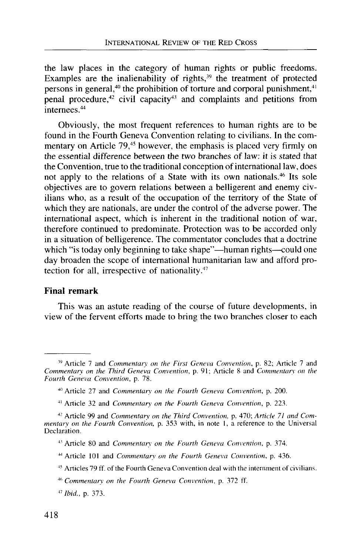the law places in the category of human rights or public freedoms. Examples are the inalienability of rights,<sup>39</sup> the treatment of protected persons in general,<sup>40</sup> the prohibition of torture and corporal punishment,<sup>41</sup> penal procedure,<sup>42</sup> civil capacity<sup>43</sup> and complaints and petitions from internees.<sup>44</sup>

Obviously, the most frequent references to human rights are to be found in the Fourth Geneva Convention relating to civilians. In the commentary on Article 79,<sup>45</sup> however, the emphasis is placed very firmly on the essential difference between the two branches of law: it is stated that the Convention, true to the traditional conception of international law, does not apply to the relations of a State with its own nationals.<sup>46</sup> Its sole objectives are to govern relations between a belligerent and enemy civilians who, as a result of the occupation of the territory of the State of which they are nationals, are under the control of the adverse power. The international aspect, which is inherent in the traditional notion of war, therefore continued to predominate. Protection was to be accorded only in a situation of belligerence. The commentator concludes that a doctrine which "is today only beginning to take shape"—human rights—could one day broaden the scope of international humanitarian law and afford protection for all, irrespective of nationality.<sup>47</sup>

#### Final remark

This was an astute reading of the course of future developments, in view of the fervent efforts made to bring the two branches closer to each

41 Article 32 and *Commentary on the Fourth Geneva Convention,* p. 223.

- 41 Article 80 and *Commentary on the Fourth Geneva Convention,* p. 374.
- 44 Article 101 and *Commentary on the Fourth Geneva Convention,* p. 436.

46  *Commentary on the Fourth Geneva Convention,* p. 372 ff.

<sup>&</sup>lt;sup>39</sup> Article 7 and *Commentary on the First Geneva Convention*, p. 82; Article 7 and *Commentary on the Third Geneva Convention,* p. 91; Article 8 and *Commentary on the Fourth Geneva Convention,* p. 78.

<sup>40</sup> Article 27 and *Commentary on the Fourth Geneva Convention,* p. 200.

<sup>42</sup> Article 99 and *Commentary on the Third Convention,* p. 470; *Article 71 and Commentary on the Fourth Convention,* p. 353 with, in note 1, a reference to the Universal Declaration.

<sup>&</sup>lt;sup>45</sup> Articles 79 ff. of the Fourth Geneva Convention deal with the internment of civilians.

<sup>47</sup>  *Ibid.,* p. 373.